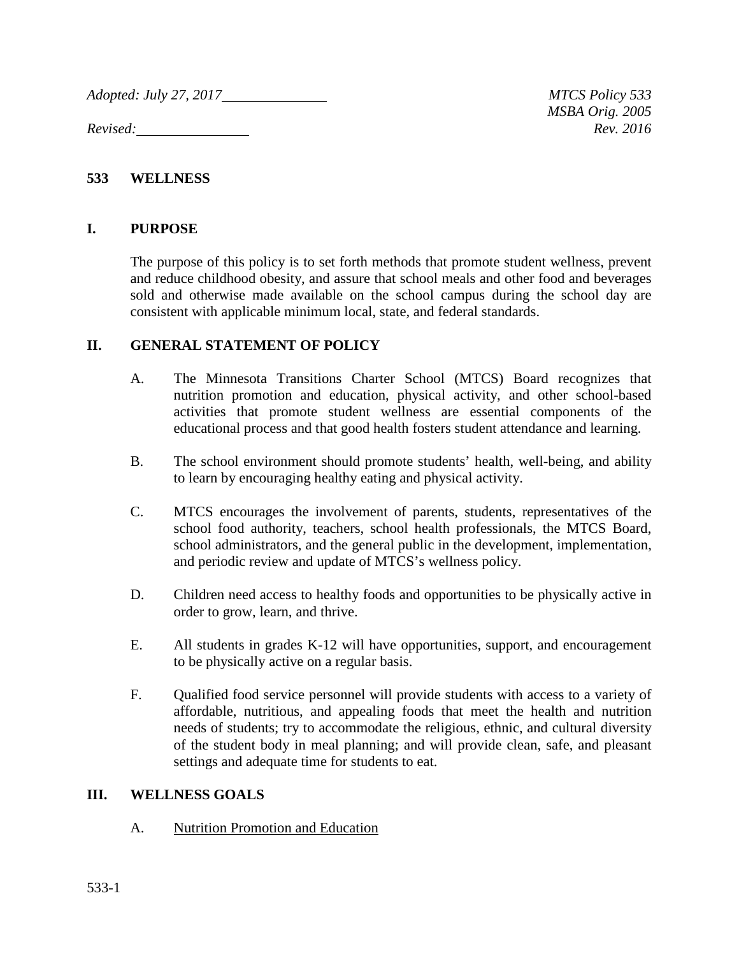*Adopted: July 27, 2017 MTCS Policy 533*

*Revised: Rev. 2016*

*MSBA Orig. 2005*

#### **533 WELLNESS**

#### **I. PURPOSE**

The purpose of this policy is to set forth methods that promote student wellness, prevent and reduce childhood obesity, and assure that school meals and other food and beverages sold and otherwise made available on the school campus during the school day are consistent with applicable minimum local, state, and federal standards.

#### **II. GENERAL STATEMENT OF POLICY**

- A. The Minnesota Transitions Charter School (MTCS) Board recognizes that nutrition promotion and education, physical activity, and other school-based activities that promote student wellness are essential components of the educational process and that good health fosters student attendance and learning.
- B. The school environment should promote students' health, well-being, and ability to learn by encouraging healthy eating and physical activity.
- C. MTCS encourages the involvement of parents, students, representatives of the school food authority, teachers, school health professionals, the MTCS Board, school administrators, and the general public in the development, implementation, and periodic review and update of MTCS's wellness policy.
- D. Children need access to healthy foods and opportunities to be physically active in order to grow, learn, and thrive.
- E. All students in grades K-12 will have opportunities, support, and encouragement to be physically active on a regular basis.
- F. Qualified food service personnel will provide students with access to a variety of affordable, nutritious, and appealing foods that meet the health and nutrition needs of students; try to accommodate the religious, ethnic, and cultural diversity of the student body in meal planning; and will provide clean, safe, and pleasant settings and adequate time for students to eat.

#### **III. WELLNESS GOALS**

A. Nutrition Promotion and Education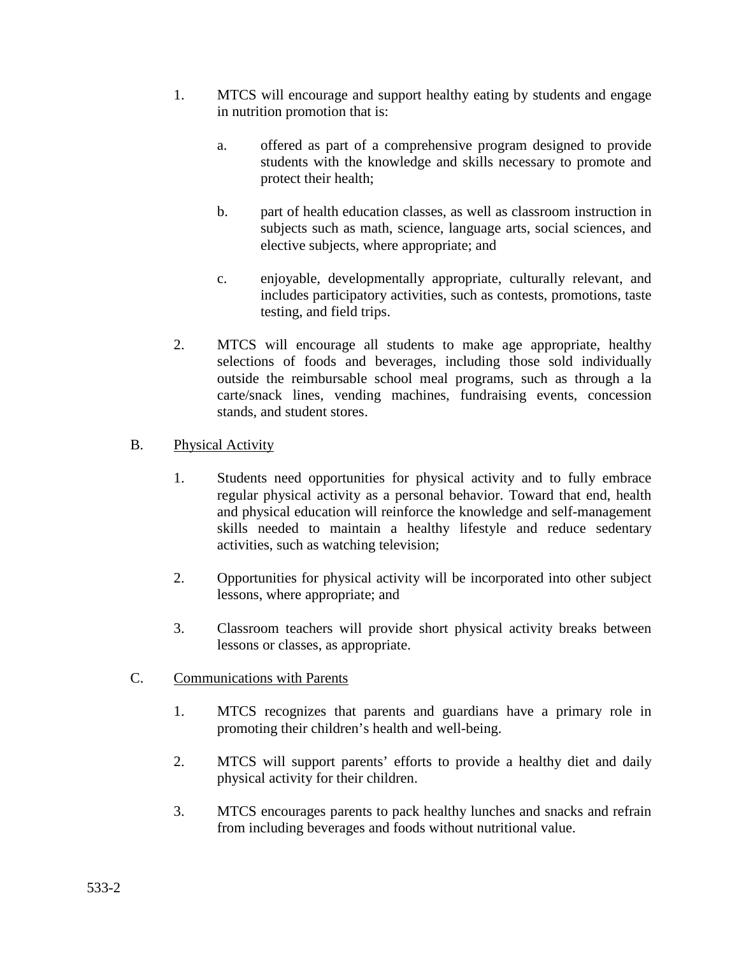- 1. MTCS will encourage and support healthy eating by students and engage in nutrition promotion that is:
	- a. offered as part of a comprehensive program designed to provide students with the knowledge and skills necessary to promote and protect their health;
	- b. part of health education classes, as well as classroom instruction in subjects such as math, science, language arts, social sciences, and elective subjects, where appropriate; and
	- c. enjoyable, developmentally appropriate, culturally relevant, and includes participatory activities, such as contests, promotions, taste testing, and field trips.
- 2. MTCS will encourage all students to make age appropriate, healthy selections of foods and beverages, including those sold individually outside the reimbursable school meal programs, such as through a la carte/snack lines, vending machines, fundraising events, concession stands, and student stores.

## B. Physical Activity

- 1. Students need opportunities for physical activity and to fully embrace regular physical activity as a personal behavior. Toward that end, health and physical education will reinforce the knowledge and self-management skills needed to maintain a healthy lifestyle and reduce sedentary activities, such as watching television;
- 2. Opportunities for physical activity will be incorporated into other subject lessons, where appropriate; and
- 3. Classroom teachers will provide short physical activity breaks between lessons or classes, as appropriate.

### C. Communications with Parents

- 1. MTCS recognizes that parents and guardians have a primary role in promoting their children's health and well-being.
- 2. MTCS will support parents' efforts to provide a healthy diet and daily physical activity for their children.
- 3. MTCS encourages parents to pack healthy lunches and snacks and refrain from including beverages and foods without nutritional value.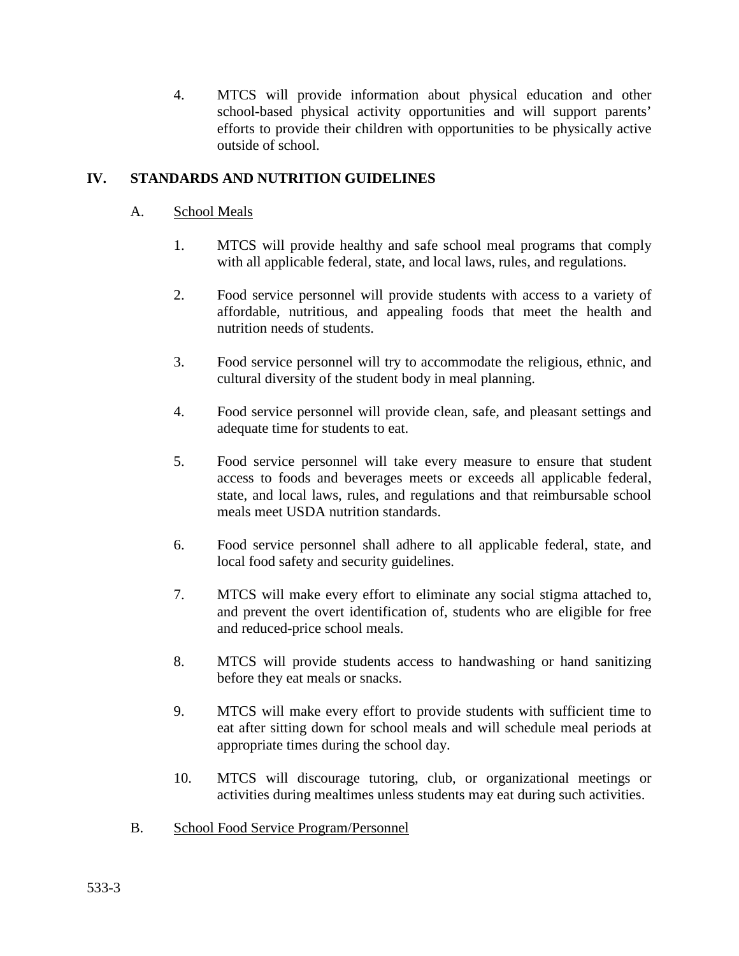4. MTCS will provide information about physical education and other school-based physical activity opportunities and will support parents' efforts to provide their children with opportunities to be physically active outside of school.

## **IV. STANDARDS AND NUTRITION GUIDELINES**

- A. School Meals
	- 1. MTCS will provide healthy and safe school meal programs that comply with all applicable federal, state, and local laws, rules, and regulations.
	- 2. Food service personnel will provide students with access to a variety of affordable, nutritious, and appealing foods that meet the health and nutrition needs of students.
	- 3. Food service personnel will try to accommodate the religious, ethnic, and cultural diversity of the student body in meal planning.
	- 4. Food service personnel will provide clean, safe, and pleasant settings and adequate time for students to eat.
	- 5. Food service personnel will take every measure to ensure that student access to foods and beverages meets or exceeds all applicable federal, state, and local laws, rules, and regulations and that reimbursable school meals meet USDA nutrition standards.
	- 6. Food service personnel shall adhere to all applicable federal, state, and local food safety and security guidelines.
	- 7. MTCS will make every effort to eliminate any social stigma attached to, and prevent the overt identification of, students who are eligible for free and reduced-price school meals.
	- 8. MTCS will provide students access to handwashing or hand sanitizing before they eat meals or snacks.
	- 9. MTCS will make every effort to provide students with sufficient time to eat after sitting down for school meals and will schedule meal periods at appropriate times during the school day.
	- 10. MTCS will discourage tutoring, club, or organizational meetings or activities during mealtimes unless students may eat during such activities.
- B. School Food Service Program/Personnel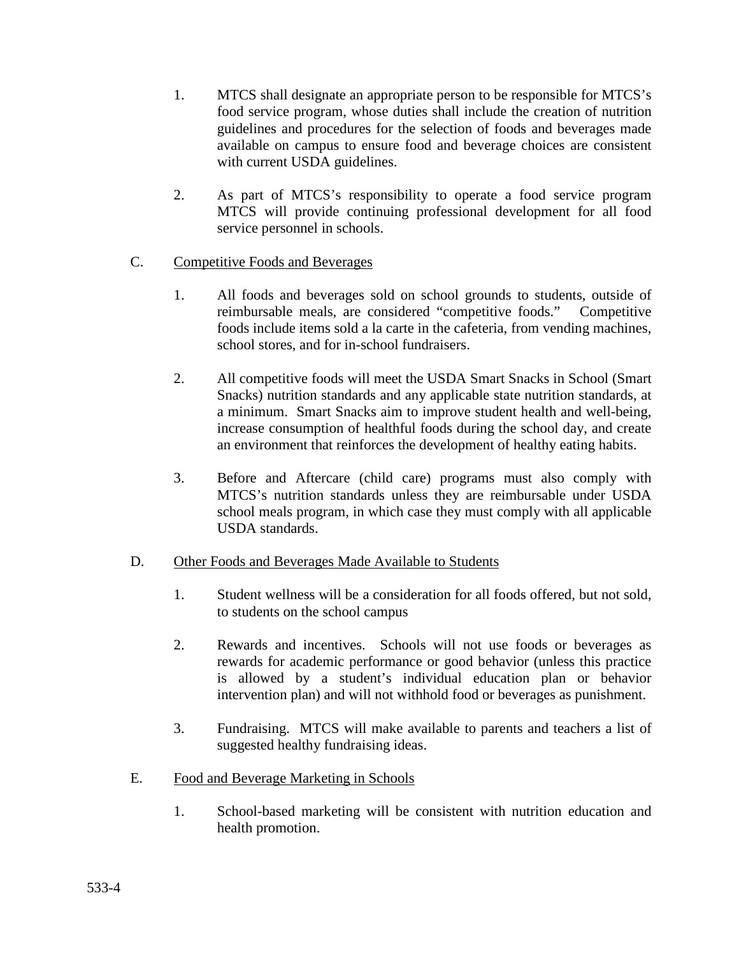- 1. MTCS shall designate an appropriate person to be responsible for MTCS's food service program, whose duties shall include the creation of nutrition guidelines and procedures for the selection of foods and beverages made available on campus to ensure food and beverage choices are consistent with current USDA guidelines.
- 2. As part of MTCS's responsibility to operate a food service program MTCS will provide continuing professional development for all food service personnel in schools.
- C. Competitive Foods and Beverages
	- 1. All foods and beverages sold on school grounds to students, outside of reimbursable meals, are considered "competitive foods." Competitive foods include items sold a la carte in the cafeteria, from vending machines, school stores, and for in-school fundraisers.
	- 2. All competitive foods will meet the USDA Smart Snacks in School (Smart Snacks) nutrition standards and any applicable state nutrition standards, at a minimum. Smart Snacks aim to improve student health and well-being, increase consumption of healthful foods during the school day, and create an environment that reinforces the development of healthy eating habits.
	- 3. Before and Aftercare (child care) programs must also comply with MTCS's nutrition standards unless they are reimbursable under USDA school meals program, in which case they must comply with all applicable USDA standards.

### D. Other Foods and Beverages Made Available to Students

- 1. Student wellness will be a consideration for all foods offered, but not sold, to students on the school campus
- 2. Rewards and incentives. Schools will not use foods or beverages as rewards for academic performance or good behavior (unless this practice is allowed by a student's individual education plan or behavior intervention plan) and will not withhold food or beverages as punishment.
- 3. Fundraising. MTCS will make available to parents and teachers a list of suggested healthy fundraising ideas.
- E. Food and Beverage Marketing in Schools
	- 1. School-based marketing will be consistent with nutrition education and health promotion.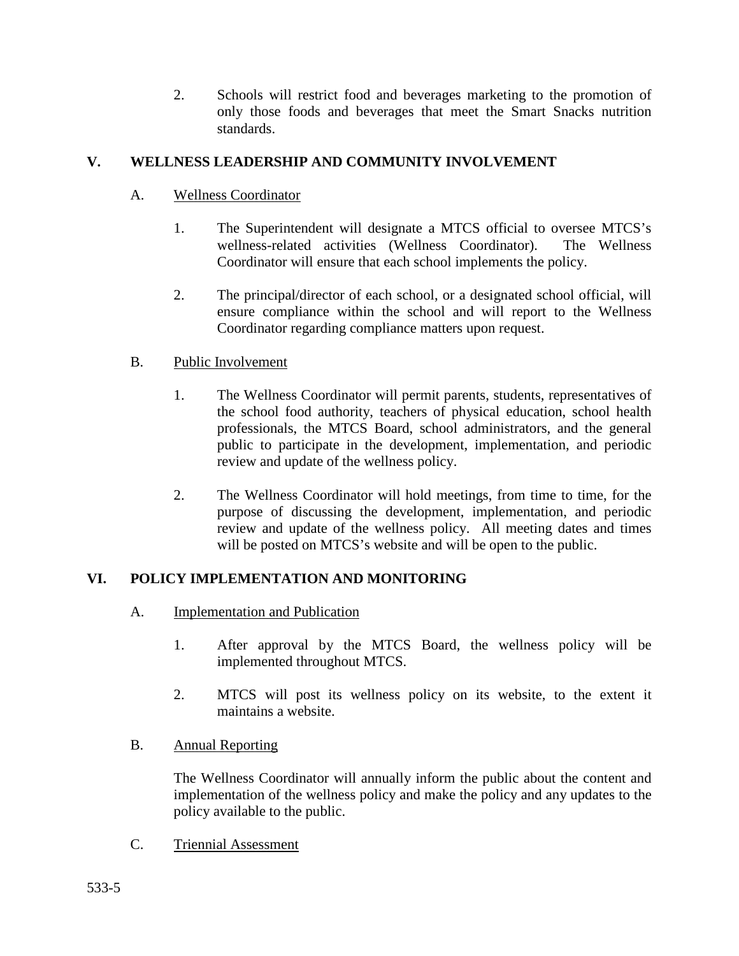2. Schools will restrict food and beverages marketing to the promotion of only those foods and beverages that meet the Smart Snacks nutrition standards.

## **V. WELLNESS LEADERSHIP AND COMMUNITY INVOLVEMENT**

- A. Wellness Coordinator
	- 1. The Superintendent will designate a MTCS official to oversee MTCS's wellness-related activities (Wellness Coordinator). The Wellness Coordinator will ensure that each school implements the policy.
	- 2. The principal/director of each school, or a designated school official, will ensure compliance within the school and will report to the Wellness Coordinator regarding compliance matters upon request.
- B. Public Involvement
	- 1. The Wellness Coordinator will permit parents, students, representatives of the school food authority, teachers of physical education, school health professionals, the MTCS Board, school administrators, and the general public to participate in the development, implementation, and periodic review and update of the wellness policy.
	- 2. The Wellness Coordinator will hold meetings, from time to time, for the purpose of discussing the development, implementation, and periodic review and update of the wellness policy. All meeting dates and times will be posted on MTCS's website and will be open to the public.

# **VI. POLICY IMPLEMENTATION AND MONITORING**

- A. Implementation and Publication
	- 1. After approval by the MTCS Board, the wellness policy will be implemented throughout MTCS.
	- 2. MTCS will post its wellness policy on its website, to the extent it maintains a website.
- B. Annual Reporting

The Wellness Coordinator will annually inform the public about the content and implementation of the wellness policy and make the policy and any updates to the policy available to the public.

C. Triennial Assessment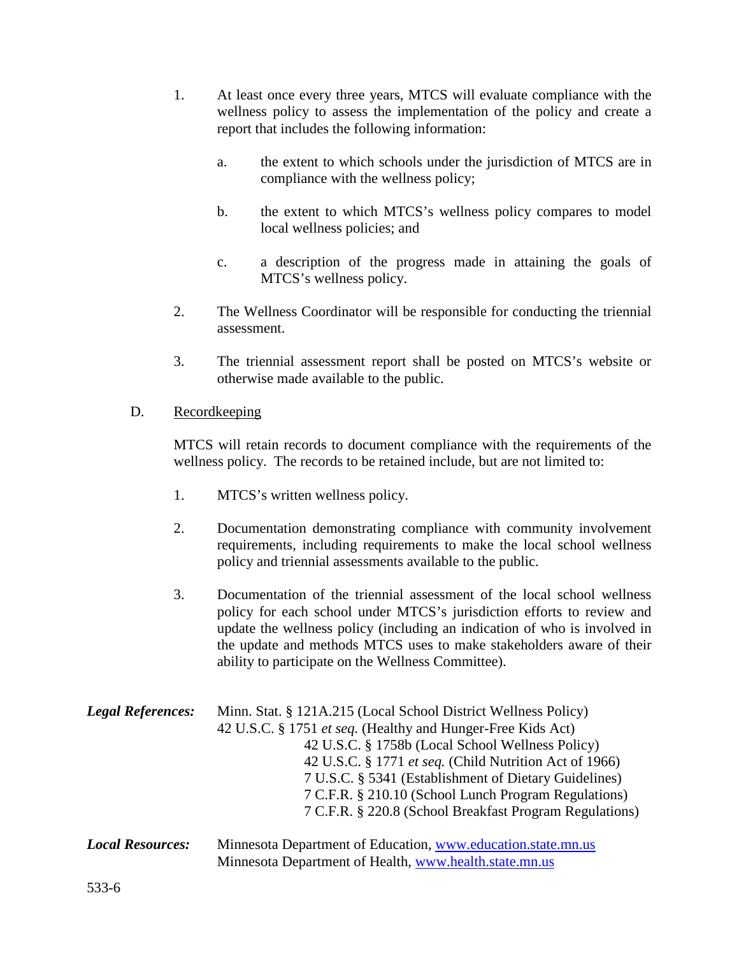- 1. At least once every three years, MTCS will evaluate compliance with the wellness policy to assess the implementation of the policy and create a report that includes the following information:
	- a. the extent to which schools under the jurisdiction of MTCS are in compliance with the wellness policy;
	- b. the extent to which MTCS's wellness policy compares to model local wellness policies; and
	- c. a description of the progress made in attaining the goals of MTCS's wellness policy.
- 2. The Wellness Coordinator will be responsible for conducting the triennial assessment.
- 3. The triennial assessment report shall be posted on MTCS's website or otherwise made available to the public.

### D. Recordkeeping

MTCS will retain records to document compliance with the requirements of the wellness policy. The records to be retained include, but are not limited to:

- 1. MTCS's written wellness policy.
- 2. Documentation demonstrating compliance with community involvement requirements, including requirements to make the local school wellness policy and triennial assessments available to the public.
- 3. Documentation of the triennial assessment of the local school wellness policy for each school under MTCS's jurisdiction efforts to review and update the wellness policy (including an indication of who is involved in the update and methods MTCS uses to make stakeholders aware of their ability to participate on the Wellness Committee).

| <b>Legal References:</b> | Minn. Stat. § 121A.215 (Local School District Wellness Policy) |
|--------------------------|----------------------------------------------------------------|
|                          | 42 U.S.C. § 1751 et seq. (Healthy and Hunger-Free Kids Act)    |
|                          | 42 U.S.C. § 1758b (Local School Wellness Policy)               |
|                          | 42 U.S.C. § 1771 et seq. (Child Nutrition Act of 1966)         |
|                          | 7 U.S.C. § 5341 (Establishment of Dietary Guidelines)          |
|                          | 7 C.F.R. § 210.10 (School Lunch Program Regulations)           |
|                          | 7 C.F.R. § 220.8 (School Breakfast Program Regulations)        |
|                          |                                                                |

*Local Resources:* Minnesota Department of Education, [www.education.state.mn.us](http://www.education.state.mn.us/) Minnesota Department of Health, [www.health.state.mn.us](http://www.health.state.mn.us/)